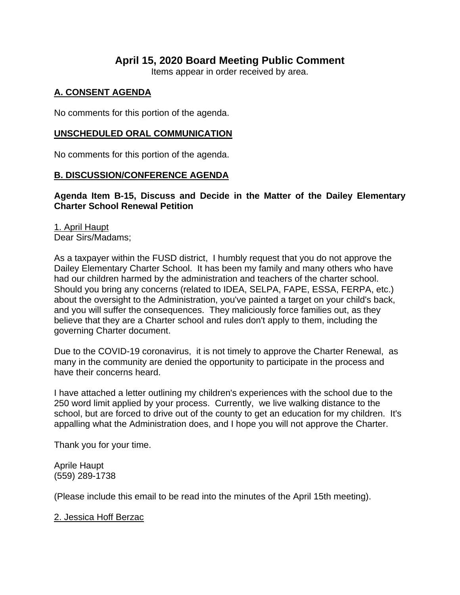# **April 15, 2020 Board Meeting Public Comment**

Items appear in order received by area.

## **A. CONSENT AGENDA**

No comments for this portion of the agenda.

### **UNSCHEDULED ORAL COMMUNICATION**

No comments for this portion of the agenda.

#### **B. DISCUSSION/CONFERENCE AGENDA**

**Agenda Item B-15, Discuss and Decide in the Matter of the Dailey Elementary Charter School Renewal Petition** 

1. April Haupt Dear Sirs/Madams;

As a taxpayer within the FUSD district, I humbly request that you do not approve the Dailey Elementary Charter School. It has been my family and many others who have had our children harmed by the administration and teachers of the charter school. Should you bring any concerns (related to IDEA, SELPA, FAPE, ESSA, FERPA, etc.) about the oversight to the Administration, you've painted a target on your child's back, and you will suffer the consequences. They maliciously force families out, as they believe that they are a Charter school and rules don't apply to them, including the governing Charter document.

Due to the COVID-19 coronavirus, it is not timely to approve the Charter Renewal, as many in the community are denied the opportunity to participate in the process and have their concerns heard.

I have attached a letter outlining my children's experiences with the school due to the 250 word limit applied by your process. Currently, we live walking distance to the school, but are forced to drive out of the county to get an education for my children. It's appalling what the Administration does, and I hope you will not approve the Charter.

Thank you for your time.

Aprile Haupt (559) 289-1738

(Please include this email to be read into the minutes of the April 15th meeting).

2. Jessica Hoff Berzac